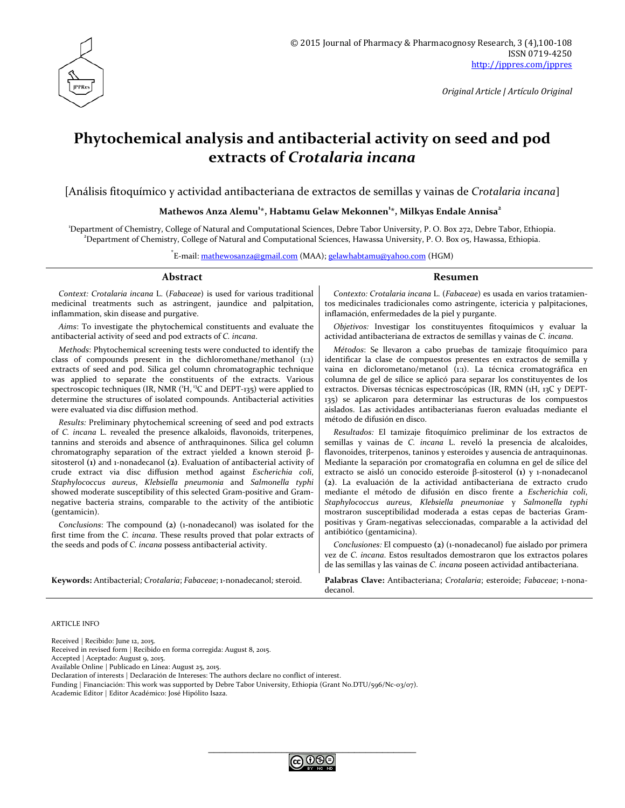

*Original Article | Artículo Original*

# **Phytochemical analysis and antibacterial activity on seed and pod extracts of** *Crotalaria incana*

[Análisis fitoquímico y actividad antibacteriana de extractos de semillas y vainas de *Crotalaria incana*]

#### **Mathewos Anza Alemu<sup>1</sup> \*, Habtamu Gelaw Mekonnen<sup>1</sup> \*, Milkyas Endale Annisa2**

1 Department of Chemistry, College of Natural and Computational Sciences, Debre Tabor University, P. O. Box 272, Debre Tabor, Ethiopia. 2 Department of Chemistry, College of Natural and Computational Sciences, Hawassa University, P. O. Box 05, Hawassa, Ethiopia.

\* E-mail: [mathewosanza@gmail.com](mailto:mathewosanza@gmail.com) (MAA)[; gelawhabtamu@yahoo.com](mailto:gelawhabtamu@yahoo.com) (HGM)

#### **Abstract Resumen**

*Context: Crotalaria incana* L. (*Fabaceae*) is used for various traditional medicinal treatments such as astringent, jaundice and palpitation, inflammation, skin disease and purgative.

*Aims*: To investigate the phytochemical constituents and evaluate the antibacterial activity of seed and pod extracts of *C. incana*.

*Methods*: Phytochemical screening tests were conducted to identify the class of compounds present in the dichloromethane/methanol (1:1) extracts of seed and pod. Silica gel column chromatographic technique was applied to separate the constituents of the extracts. Various spectroscopic techniques (IR, NMR  $(H, {}^{13}C$  and DEPT-135) were applied to determine the structures of isolated compounds. Antibacterial activities were evaluated via disc diffusion method.

*Results:* Preliminary phytochemical screening of seed and pod extracts of *C. incana* L. revealed the presence alkaloids, flavonoids, triterpenes, tannins and steroids and absence of anthraquinones. Silica gel column chromatography separation of the extract yielded a known steroid βsitosterol **(1)** and 1-nonadecanol **(2)**. Evaluation of antibacterial activity of crude extract via disc diffusion method against *Escherichia coli*, *Staphylococcus aureus*, *Klebsiella pneumonia* and *Salmonella typhi* showed moderate susceptibility of this selected Gram-positive and Gramnegative bacteria strains, comparable to the activity of the antibiotic (gentamicin).

*Conclusions*: The compound **(2)** (1-nonadecanol) was isolated for the first time from the *C. incana*. These results proved that polar extracts of the seeds and pods of *C. incana* possess antibacterial activity.

*Contexto: Crotalaria incana* L. (*Fabaceae*) es usada en varios tratamientos medicinales tradicionales como astringente, ictericia y palpitaciones, inflamación, enfermedades de la piel y purgante.

*Objetivos:* Investigar los constituyentes fitoquímicos y evaluar la actividad antibacteriana de extractos de semillas y vainas de *C. incana*.

*Métodos*: Se llevaron a cabo pruebas de tamizaje fitoquímico para identificar la clase de compuestos presentes en extractos de semilla y vaina en diclorometano/metanol (1:1). La técnica cromatográfica en columna de gel de sílice se aplicó para separar los constituyentes de los extractos. Diversas técnicas espectroscópicas (IR, RMN (1H, 13C y DEPT-135) se aplicaron para determinar las estructuras de los compuestos aislados. Las actividades antibacterianas fueron evaluadas mediante el método de difusión en disco.

*Resultados:* El tamizaje fitoquímico preliminar de los extractos de semillas y vainas de *C. incana* L. reveló la presencia de alcaloides, flavonoides, triterpenos, taninos y esteroides y ausencia de antraquinonas. Mediante la separación por cromatografía en columna en gel de sílice del extracto se aisló un conocido esteroide β-sitosterol **(1)** y 1-nonadecanol **(2)**. La evaluación de la actividad antibacteriana de extracto crudo mediante el método de difusión en disco frente a *Escherichia coli*, *Staphylococcus aureus*, *Klebsiella pneumoniae* y *Salmonella typhi* mostraron susceptibilidad moderada a estas cepas de bacterias Grampositivas y Gram-negativas seleccionadas, comparable a la actividad del antibiótico (gentamicina).

*Conclusiones:* El compuesto **(2)** (1-nonadecanol) fue aislado por primera vez de *C. incana*. Estos resultados demostraron que los extractos polares de las semillas y las vainas de *C. incana* poseen actividad antibacteriana.

**Keywords:** Antibacterial*; Crotalaria*; *Fabaceae*; 1-nonadecanol*;* steroid. **Palabras Clave:** Antibacteriana; *Crotalaria*; esteroide; *Fabaceae*; 1-nonadecanol.

ARTICLE INFO

Received | Recibido: June 12, 2015.

Received in revised form | Recibido en forma corregida: August 8, 2015.

Accepted | Aceptado: August 9, 2015.

Available Online | Publicado en Línea: August 25, 2015.

Declaration of interests | Declaración de Intereses: The authors declare no conflict of interest.

Funding | Financiación: This work was supported by Debre Tabor University, Ethiopia (Grant No.DTU/596/Nc-03/07).

Academic Editor | Editor Académico: José Hipólito Isaza.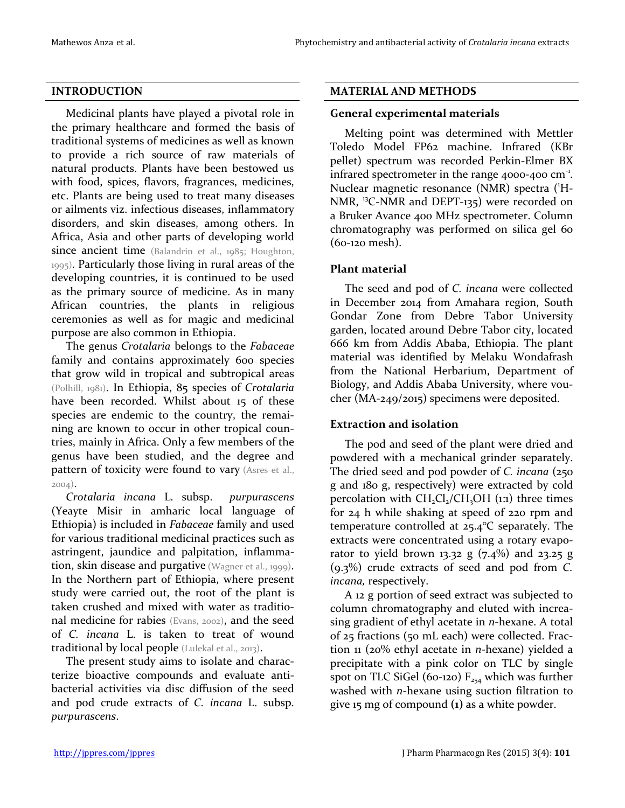#### **INTRODUCTION**

Medicinal plants have played a pivotal role in the primary healthcare and formed the basis of traditional systems of medicines as well as known to provide a rich source of raw materials of natural products. Plants have been bestowed us with food, spices, flavors, fragrances, medicines, etc. Plants are being used to treat many diseases or ailments viz. infectious diseases, inflammatory disorders, and skin diseases, among others. In Africa, Asia and other parts of developing world since ancient time (Balandrin et al., 1985; Houghton, 1995). Particularly those living in rural areas of the developing countries, it is continued to be used as the primary source of medicine. As in many African countries, the plants in religious ceremonies as well as for magic and medicinal purpose are also common in Ethiopia.

The genus *Crotalaria* belongs to the *Fabaceae* family and contains approximately 600 species that grow wild in tropical and subtropical areas (Polhill, 1981). In Ethiopia, 85 species of *Crotalaria* have been recorded. Whilst about 15 of these species are endemic to the country, the remaining are known to occur in other tropical countries, mainly in Africa. Only a few members of the genus have been studied, and the degree and pattern of toxicity were found to vary (Asres et al., 2004).

*Crotalaria incana* L. subsp. *purpurascens*  (Yeayte Misir in amharic local language of Ethiopia) is included in *Fabaceae* family and used for various traditional medicinal practices such as astringent, jaundice and palpitation, inflammation, skin disease and purgative (Wagner et al., 1999). In the Northern part of Ethiopia, where present study were carried out, the root of the plant is taken crushed and mixed with water as traditional medicine for rabies (Evans, 2002), and the seed of *C. incana* L. is taken to treat of wound traditional by local people (Lulekal et al., 2013).

The present study aims to isolate and characterize bioactive compounds and evaluate antibacterial activities via disc diffusion of the seed and pod crude extracts of *C. incana* L. subsp. *purpurascens*.

#### **MATERIAL AND METHODS**

#### **General experimental materials**

Melting point was determined with Mettler Toledo Model FP62 machine. Infrared (KBr pellet) spectrum was recorded Perkin-Elmer BX infrared spectrometer in the range  $4000-400$  cm<sup>-1</sup>. Nuclear magnetic resonance (NMR) spectra ('H-NMR, <sup>13</sup>C-NMR and DEPT-135) were recorded on a Bruker Avance 400 MHz spectrometer. Column chromatography was performed on silica gel 60 (60-120 mesh).

#### **Plant material**

The seed and pod of *C. incana* were collected in December 2014 from Amahara region, South Gondar Zone from Debre Tabor University garden, located around Debre Tabor city, located 666 km from Addis Ababa, Ethiopia. The plant material was identified by Melaku Wondafrash from the National Herbarium, Department of Biology, and Addis Ababa University, where voucher (MA-249/2015) specimens were deposited.

### **Extraction and isolation**

The pod and seed of the plant were dried and powdered with a mechanical grinder separately. The dried seed and pod powder of *C. incana* (250 g and 180 g, respectively) were extracted by cold percolation with  $CH_2Cl_2/CH_3OH$  (1:1) three times for 24 h while shaking at speed of 220 rpm and temperature controlled at 25.4°C separately. The extracts were concentrated using a rotary evaporator to yield brown 13.32 g  $(7.4\%)$  and 23.25 g (9.3%) crude extracts of seed and pod from *C. incana,* respectively.

A 12 g portion of seed extract was subjected to column chromatography and eluted with increasing gradient of ethyl acetate in *n*-hexane. A total of 25 fractions (50 mL each) were collected. Fraction 11 (20% ethyl acetate in *n*-hexane) yielded a precipitate with a pink color on TLC by single spot on TLC SiGel (60-120)  $F_{254}$  which was further washed with *n*-hexane using suction filtration to give 15 mg of compound **(1)** as a white powder.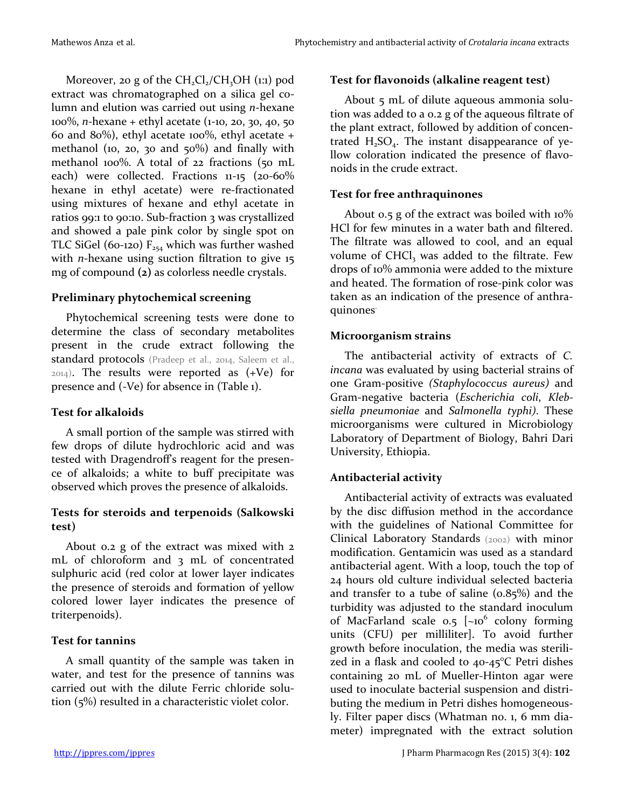Moreover, 20 g of the  $CH_2Cl_2/CH_3OH$  (1:1) pod extract was chromatographed on a silica gel column and elution was carried out using *n*-hexane 100%, *n-*hexane + ethyl acetate (1-10, 20, 30, 40, 50 60 and 80%), ethyl acetate 100%, ethyl acetate  $+$ methanol (10, 20, 30 and  $50\%$ ) and finally with methanol 100%. A total of 22 fractions (50 mL each) were collected. Fractions 11-15 (20-60% hexane in ethyl acetate) were re-fractionated using mixtures of hexane and ethyl acetate in ratios 99:1 to 90:10. Sub-fraction 3 was crystallized and showed a pale pink color by single spot on TLC SiGel (60-120)  $F_{254}$  which was further washed with *n*-hexane using suction filtration to give 15 mg of compound **(2)** as colorless needle crystals.

### **Preliminary phytochemical screening**

Phytochemical screening tests were done to determine the class of secondary metabolites present in the crude extract following the standard protocols (Pradeep et al., 2014, Saleem et al.,  $2014$ ). The results were reported as  $(+Ve)$  for presence and (-Ve) for absence in (Table 1).

## **Test for alkaloids**

A small portion of the sample was stirred with few drops of dilute hydrochloric acid and was tested with Dragendroff's reagent for the presence of alkaloids; a white to buff precipitate was observed which proves the presence of alkaloids.

### **Tests for steroids and terpenoids (Salkowski test)**

About 0.2 g of the extract was mixed with 2 mL of chloroform and 3 mL of concentrated sulphuric acid (red color at lower layer indicates the presence of steroids and formation of yellow colored lower layer indicates the presence of triterpenoids).

### **Test for tannins**

A small quantity of the sample was taken in water, and test for the presence of tannins was carried out with the dilute Ferric chloride solution (5%) resulted in a characteristic violet color.

## **Test for flavonoids (alkaline reagent test)**

About 5 mL of dilute aqueous ammonia solution was added to a 0.2 g of the aqueous filtrate of the plant extract, followed by addition of concentrated  $H_2SO_4$ . The instant disappearance of yellow coloration indicated the presence of flavonoids in the crude extract.

## **Test for free anthraquinones**

About 0.5 g of the extract was boiled with 10% HCl for few minutes in a water bath and filtered. The filtrate was allowed to cool, and an equal volume of  $CHCl<sub>2</sub>$  was added to the filtrate. Few drops of 10% ammonia were added to the mixture and heated. The formation of rose-pink color was taken as an indication of the presence of anthraquinones.

### **Microorganism strains**

The antibacterial activity of extracts of *C. incana* was evaluated by using bacterial strains of one Gram-positive *(Staphylococcus aureus)* and Gram-negative bacteria (*Escherichia coli*, *Klebsiella pneumoniae* and *Salmonella typhi)*. These microorganisms were cultured in Microbiology Laboratory of Department of Biology, Bahri Dari University, Ethiopia.

## **Antibacterial activity**

Antibacterial activity of extracts was evaluated by the disc diffusion method in the accordance with the guidelines of National Committee for Clinical Laboratory Standards (2002) with minor modification. Gentamicin was used as a standard antibacterial agent. With a loop, touch the top of 24 hours old culture individual selected bacteria and transfer to a tube of saline  $(0.85\%)$  and the turbidity was adjusted to the standard inoculum of MacFarland scale  $0.5$   $\sim 10^6$  colony forming units (CFU) per milliliter]. To avoid further growth before inoculation, the media was sterilized in a flask and cooled to 40-45°C Petri dishes containing 20 mL of Mueller-Hinton agar were used to inoculate bacterial suspension and distributing the medium in Petri dishes homogeneously. Filter paper discs (Whatman no. 1, 6 mm diameter) impregnated with the extract solution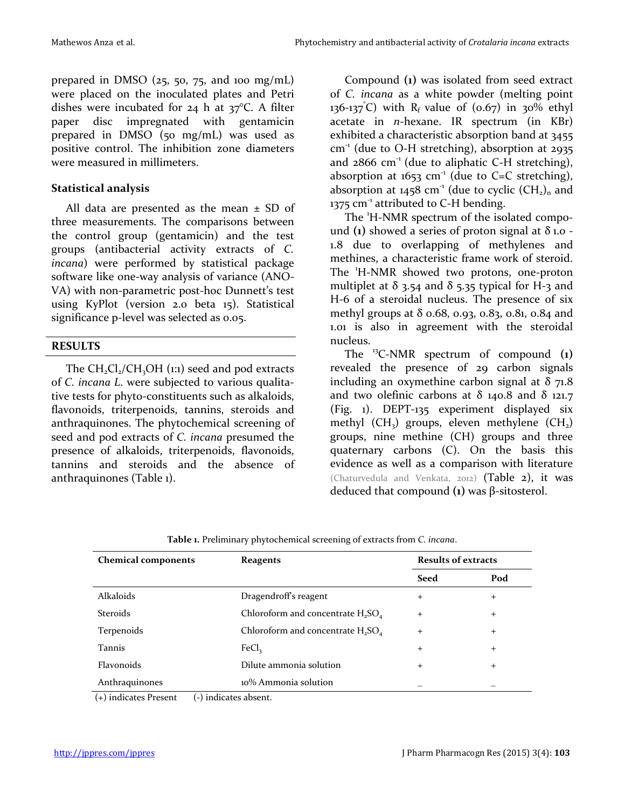prepared in DMSO ( $25$ ,  $50$ ,  $75$ , and 100 mg/mL) were placed on the inoculated plates and Petri dishes were incubated for 24 h at 37°C. A filter paper disc impregnated with gentamicin prepared in DMSO (50 mg/mL) was used as positive control. The inhibition zone diameters were measured in millimeters.

## **Statistical analysis**

All data are presented as the mean  $\pm$  SD of three measurements. The comparisons between the control group (gentamicin) and the test groups (antibacterial activity extracts of *C. incana*) were performed by statistical package software like one-way analysis of variance (ANO-VA) with non-parametric post-hoc Dunnett's test using KyPlot (version 2.0 beta 15). Statistical significance p-level was selected as 0.05.

### **RESULTS**

The  $CH_2Cl_2/CH_3OH$  (1:1) seed and pod extracts of *C. incana L*. were subjected to various qualitative tests for phyto-constituents such as alkaloids, flavonoids, triterpenoids, tannins, steroids and anthraquinones. The phytochemical screening of seed and pod extracts of *C. incana* presumed the presence of alkaloids, triterpenoids, flavonoids, tannins and steroids and the absence of anthraquinones (Table 1).

Compound **(1)** was isolated from seed extract of *C. incana* as a white powder (melting point 136-137 $\degree$ C) with R<sub>f</sub> value of (0.67) in 30% ethyl acetate in *n*-hexane. IR spectrum (in KBr) exhibited a characteristic absorption band at 3455  $cm<sup>-1</sup>$  (due to O-H stretching), absorption at 2935 and  $2866$  cm<sup>-1</sup> (due to aliphatic C-H stretching), absorption at  $1653$  cm<sup>-1</sup> (due to C=C stretching), absorption at 1458 cm<sup>-1</sup> (due to cyclic  $(CH_2)_n$  and 1375 cm<sup>-1</sup> attributed to C-H bending.

The 'H-NMR spectrum of the isolated compound  $(i)$  showed a series of proton signal at  $\delta$  1.0 -1.8 due to overlapping of methylenes and methines, a characteristic frame work of steroid. The 'H-NMR showed two protons, one-proton multiplet at  $\delta$  3.54 and  $\delta$  5.35 typical for H-3 and H-6 of a steroidal nucleus. The presence of six methyl groups at  $\delta$  0.68, 0.93, 0.83, 0.81, 0.84 and 1.01 is also in agreement with the steroidal nucleus.

The 13C-NMR spectrum of compound **(1)** revealed the presence of 29 carbon signals including an oxymethine carbon signal at  $\delta$  71.8 and two olefinic carbons at δ 140.8 and δ 121.7 (Fig. 1). DEPT-135 experiment displayed six methyl  $(CH_3)$  groups, eleven methylene  $(CH_2)$ groups, nine methine (CH) groups and three quaternary carbons (C). On the basis this evidence as well as a comparison with literature (Chaturvedula and Venkata, 2012) (Table 2), it was deduced that compound **(1)** was β-sitosterol.

| <b>Chemical components</b> | <b>Reagents</b>                      | <b>Results of extracts</b> |        |  |
|----------------------------|--------------------------------------|----------------------------|--------|--|
|                            |                                      | <b>Seed</b>                | Pod    |  |
| Alkaloids                  | Dragendroff's reagent                | $^{+}$                     | $^{+}$ |  |
| <b>Steroids</b>            | Chloroform and concentrate $H_2SO_4$ | $+$                        | $+$    |  |
| Terpenoids                 | Chloroform and concentrate $H_2SO_4$ | $^{+}$                     | $^{+}$ |  |
| Tannis                     | FeCl <sub>3</sub>                    | $^{+}$                     | $^{+}$ |  |
| Flavonoids                 | Dilute ammonia solution              | $^{+}$                     | $^{+}$ |  |
| Anthraquinones             | 10% Ammonia solution                 |                            |        |  |

(+) indicates Present (-) indicates absent.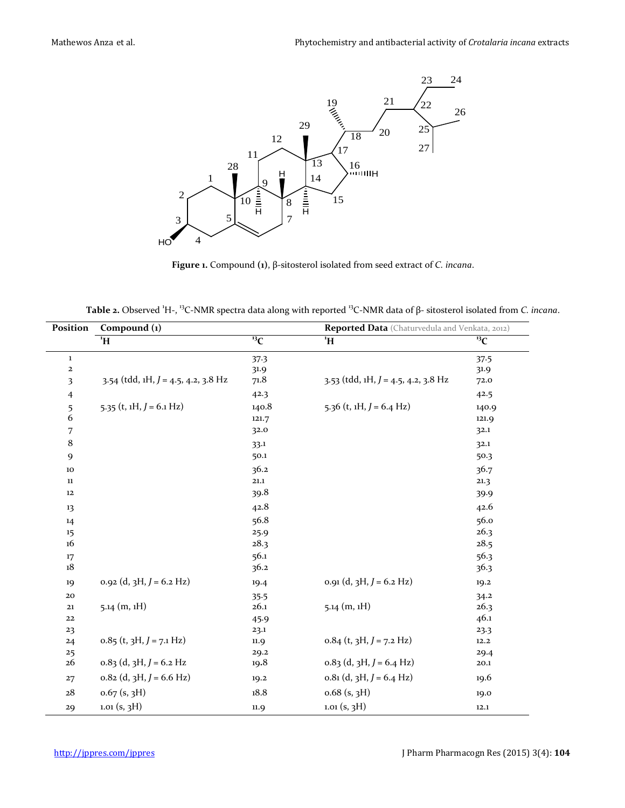

**Figure 1.** Compound **(1)**, β-sitosterol isolated from seed extract of *C. incana*.

|  |  |  |  |  | Table 2. Observed 'H-, <sup>13</sup> C-NMR spectra data along with reported <sup>13</sup> C-NMR data of $\beta$ - sitosterol isolated from <i>C. incana</i> . |  |  |  |  |
|--|--|--|--|--|---------------------------------------------------------------------------------------------------------------------------------------------------------------|--|--|--|--|
|--|--|--|--|--|---------------------------------------------------------------------------------------------------------------------------------------------------------------|--|--|--|--|

| Position       | Compound (1)                           |                  | Reported Data (Chaturvedula and Venkata, 2012) |                  |  |  |
|----------------|----------------------------------------|------------------|------------------------------------------------|------------------|--|--|
|                | $H$ <sup>1</sup>                       | $\overline{13}C$ | $H^1$                                          | $\overline{13}C$ |  |  |
| $\mathbf 1$    |                                        | 37.3             |                                                | 37.5             |  |  |
| $\mathbf 2$    |                                        | 31.9             |                                                | 31.9             |  |  |
| 3              | 3.54 (tdd, 1H, $J = 4.5$ , 4.2, 3.8 Hz | 71.8             | $3.53$ (tdd, 1H, $J = 4.5$ , 4.2, 3.8 Hz       | 72.0             |  |  |
| $\overline{4}$ |                                        | 42.3             |                                                | 42.5             |  |  |
| 5              | 5.35 (t, $1H, J = 6.1 Hz$ )            | 140.8            | 5.36 (t, $1H, J = 6.4 Hz$ )                    | 140.9            |  |  |
| 6              |                                        | 121.7            |                                                | 121.9            |  |  |
| 7              |                                        | 32.0             |                                                | 32.1             |  |  |
| 8              |                                        | 33.1             |                                                | 32.1             |  |  |
| 9              |                                        | 50.1             |                                                | 50.3             |  |  |
| 10             |                                        | 36.2             |                                                | 36.7             |  |  |
| $11\,$         |                                        | 21.1             |                                                | 21.3             |  |  |
| 12             |                                        | 39.8             |                                                | 39.9             |  |  |
| 13             |                                        | 42.8             |                                                | 42.6             |  |  |
| 14             |                                        | 56.8             |                                                | 56.0             |  |  |
| 15             |                                        | 25.9             |                                                | 26.3             |  |  |
| 16             |                                        | 28.3             |                                                | 28.5             |  |  |
| 17             |                                        | 56.1             |                                                | 56.3             |  |  |
| 18             |                                        | 36.2             |                                                | 36.3             |  |  |
| 19             | $0.92$ (d, 3H, $J = 6.2$ Hz)           | 19.4             | $0.91$ (d, 3H, $J = 6.2$ Hz)                   | 19.2             |  |  |
| 20             |                                        | 35.5             |                                                | 34.2             |  |  |
| 21             | $5.14$ (m, 1H)                         | 26.1             | $5.14$ (m, 1H)                                 | 26.3             |  |  |
| 22             |                                        | 45.9             |                                                | 46.1             |  |  |
| 23             |                                        | 23.1             |                                                | 23.3             |  |  |
| 24             | $0.85$ (t, 3H, $J = 7.1$ Hz)           | 11.9             | $0.84$ (t, 3H, $J = 7.2$ Hz)                   | 12.2             |  |  |
| 25             |                                        | 29.2             |                                                | 29.4             |  |  |
| 26             | $0.83$ (d, 3H, J = 6.2 Hz              | 19.8             | $0.83$ (d, 3H, $J = 6.4$ Hz)                   | 20.1             |  |  |
| 27             | $0.82$ (d, 3H, $J = 6.6$ Hz)           | 19.2             | $0.81$ (d, 3H, $J = 6.4$ Hz)                   | 19.6             |  |  |
| 28             | $0.67$ (s, 3H)                         | 18.8             | $0.68$ (s, $3H$ )                              | 19.0             |  |  |
| 29             | $1.01$ (s, $3H$ )                      | 11.9             | $1.01$ (s, $3H$ )                              | 12.1             |  |  |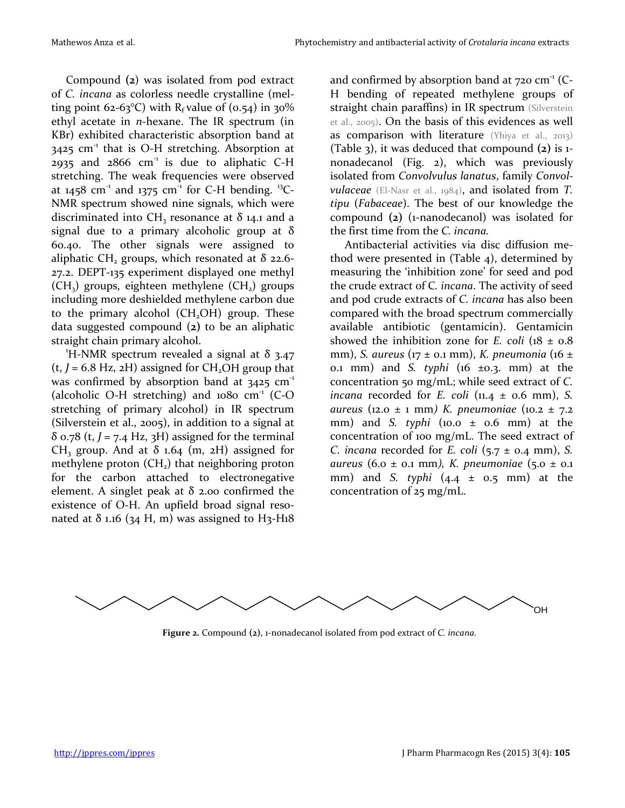Compound **(2**) was isolated from pod extract of *C. incana* as colorless needle crystalline (melting point 62-63°C) with  $R_f$  value of (0.54) in 30% ethyl acetate in *n*-hexane. The IR spectrum (in KBr) exhibited characteristic absorption band at  $3425$  cm<sup>-1</sup> that is O-H stretching. Absorption at 2935 and  $2866$  cm<sup>-1</sup> is due to aliphatic C-H stretching. The weak frequencies were observed at 1458 cm<sup>-1</sup> and 1375 cm<sup>-1</sup> for C-H bending. <sup>13</sup>C-NMR spectrum showed nine signals, which were discriminated into CH<sub>3</sub> resonance at  $\delta$  14.1 and a signal due to a primary alcoholic group at  $\delta$ 60.40. The other signals were assigned to aliphatic CH<sub>2</sub> groups, which resonated at  $\delta$  22.6-27.2. DEPT-135 experiment displayed one methyl  $(CH<sub>3</sub>)$  groups, eighteen methylene  $(CH<sub>2</sub>)$  groups including more deshielded methylene carbon due to the primary alcohol  $(CH_2OH)$  group. These data suggested compound (**2)** to be an aliphatic straight chain primary alcohol.

<sup>1</sup>H-NMR spectrum revealed a signal at  $\delta$  3.47  $(t, J = 6.8 \text{ Hz}, 2H)$  assigned for CH<sub>2</sub>OH group that was confirmed by absorption band at  $3425$  cm<sup>-1</sup> (alcoholic O-H stretching) and  $1080 \text{ cm}^{-1}$  (C-O) stretching of primary alcohol) in IR spectrum (Silverstein et al., 2005), in addition to a signal at  $\delta$  0.78 (t, *J* = 7.4 Hz, 3H) assigned for the terminal CH<sub>3</sub> group. And at  $\delta$  1.64 (m, 2H) assigned for methylene proton  $(CH<sub>2</sub>)$  that neighboring proton for the carbon attached to electronegative element. A singlet peak at  $\delta$  2.00 confirmed the existence of O-H. An upfield broad signal resonated at  $\delta$  1.16 (34 H, m) was assigned to H3-H18

and confirmed by absorption band at  $720 \text{ cm}^{-1}$  (C-H bending of repeated methylene groups of straight chain paraffins) in IR spectrum (Silverstein et al., 2005). On the basis of this evidences as well as comparison with literature (Yhiya et al., 2013) (Table 3), it was deduced that compound **(2)** is 1 nonadecanol (Fig. 2), which was previously isolated from *Convolvulus lanatus*, family *Convolvulaceae* (El-Nasr et al., 1984), and isolated from *T. tipu* (*Fabaceae*). The best of our knowledge the compound **(2)** (1-nanodecanol) was isolated for the first time from the *C. incana.*

Antibacterial activities via disc diffusion method were presented in (Table 4), determined by measuring the 'inhibition zone' for seed and pod the crude extract of C*. incana*. The activity of seed and pod crude extracts of *C. incana* has also been compared with the broad spectrum commercially available antibiotic (gentamicin). Gentamicin showed the inhibition zone for *E*. coli  $(18 \pm 0.8)$ mm), *S. aureus* (17 ± 0.1 mm), *K. pneumonia* (16 ± 0.1 mm) and *S. typhi* (16 ±0.3. mm) at the concentration 50 mg/mL; while seed extract of *C. incana* recorded for *E. coli* (11.4 ± 0.6 mm), *S. aureus* (12.0 ± 1 mm*) K. pneumoniae* (10.2 ± 7.2 mm) and *S. typhi* (10.0 ± 0.6 mm) at the concentration of 100 mg/mL. The seed extract of *C. incana* recorded for *E. coli* (5.7 ± 0.4 mm), *S. aureus* (6.0 ± 0.1 mm*), K. pneumoniae* (5.0 ± 0.1 mm) and *S. typhi* (4.4 ± 0.5 mm) at the concentration of 25 mg/mL.



**Figure 2.** Compound **(2)**, 1-nonadecanol isolated from pod extract of *C. incana.*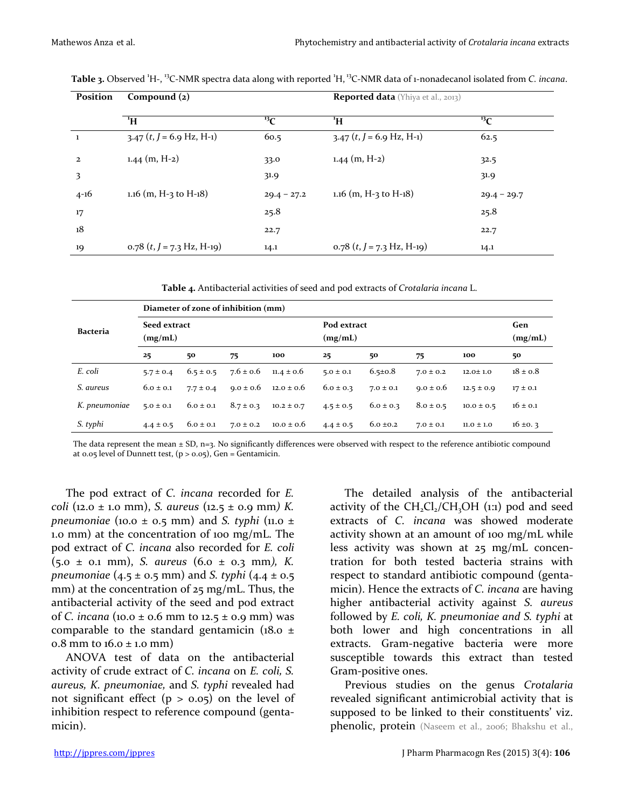| Position     | Compound $(z)$                |                            | <b>Reported data</b> (Yhiya et al., 2013) |                            |  |  |
|--------------|-------------------------------|----------------------------|-------------------------------------------|----------------------------|--|--|
|              |                               |                            |                                           |                            |  |  |
|              | $\mathbf{H}^1$                | $\mathbf{F}^{\mathbf{13}}$ | $H^1$                                     | $\mathbf{F}^{\text{13}}$ C |  |  |
| -1           | $3.47$ $(t, J = 6.9$ Hz, H-1) | 60.5                       | $3.47$ (t, J = 6.9 Hz, H-1)               | 62.5                       |  |  |
| $\mathbf{2}$ | $1.44$ (m, H-2)               | 33.0                       | $1.44$ (m, H-2)                           | 32.5                       |  |  |
| 3            |                               | 31.9                       |                                           | 31.9                       |  |  |
| $4 - 16$     | 1.16 (m, H-3 to H-18)         | $29.4 - 27.2$              | 1.16 (m, H-3 to H-18)                     | $29.4 - 29.7$              |  |  |
| 17           |                               | 25.8                       |                                           | 25.8                       |  |  |
| 18           |                               | 22.7                       |                                           | 22.7                       |  |  |
| 19           | $0.78$ (t, J = 7.3 Hz, H-19)  | 14.1                       | $0.78$ (t, J = 7.3 Hz, H-19)              | 14.1                       |  |  |

Table 3. Observed <sup>1</sup>H-, <sup>13</sup>C-NMR spectra data along with reported <sup>1</sup>H, <sup>13</sup>C-NMR data of 1-nonadecanol isolated from *C. incana*.

**Table 4.** Antibacterial activities of seed and pod extracts of *Crotalaria incana* L.

|               | Diameter of zone of inhibition (mm) |               |               |                |                        |               |               |                |                |  |
|---------------|-------------------------------------|---------------|---------------|----------------|------------------------|---------------|---------------|----------------|----------------|--|
| Bacteria      | Seed extract<br>(mg/mL)             |               |               |                | Pod extract<br>(mg/mL) |               |               |                | Gen<br>(mg/mL) |  |
|               | 25                                  | 50            | 75            | 100            | 25                     | 50            | 75            | 100            | 50             |  |
| E. coli       | $5.7 \pm 0.4$                       | $6.5 \pm 0.5$ | $7.6 \pm 0.6$ | $11.4 \pm 0.6$ | $5.0 \pm 0.1$          | $6.5 \pm 0.8$ | $7.0 \pm 0.2$ | $12.0 \pm 1.0$ | $18 \pm 0.8$   |  |
| S. aureus     | $6.0 \pm 0.1$                       | $7.7 \pm 0.4$ | $9.0 \pm 0.6$ | $12.0 \pm 0.6$ | $6.0 \pm 0.3$          | $7.0 \pm 0.1$ | $9.0 \pm 0.6$ | $12.5 \pm 0.9$ | $17 \pm 0.1$   |  |
| K. pneumoniae | $5.0 \pm 0.1$                       | $6.0 \pm 0.1$ | $8.7 \pm 0.3$ | $10.2 \pm 0.7$ | $4.5 \pm 0.5$          | $6.0 \pm 0.3$ | $8.0 \pm 0.5$ | $10.0 \pm 0.5$ | $16 \pm 0.1$   |  |
| S. typhi      | $4.4 \pm 0.5$                       | $6.0 \pm 0.1$ | $7.0 \pm 0.2$ | $10.0 \pm 0.6$ | $4.4 \pm 0.5$          | $6.0 \pm 0.2$ | $7.0 \pm 0.1$ | $11.0 \pm 1.0$ | $16 \pm 0.3$   |  |

The data represent the mean  $\pm$  SD, n=3. No significantly differences were observed with respect to the reference antibiotic compound at 0.05 level of Dunnett test,  $(p > 0.05)$ , Gen = Gentamicin.

The pod extract of *C. incana* recorded for *E. coli* (12.0 ± 1.0 mm), *S. aureus* (12.5 ± 0.9 mm*) K. pneumoniae* (10.0  $\pm$  0.5 mm) and *S. typhi* (11.0  $\pm$ 1.0 mm) at the concentration of 100 mg/mL. The pod extract of *C. incana* also recorded for *E. coli* (5.0 ± 0.1 mm), *S. aureus* (6.0 ± 0.3 mm*), K. pneumoniae* (4.5 ± 0.5 mm) and *S. typhi* (4.4 ± 0.5 mm) at the concentration of 25 mg/mL. Thus, the antibacterial activity of the seed and pod extract of *C. incana* (10.0 ± 0.6 mm to 12.5 ± 0.9 mm) was comparable to the standard gentamicin ( $18.0 \pm$ 0.8 mm to  $16.0 \pm 1.0$  mm)

ANOVA test of data on the antibacterial activity of crude extract of *C. incana* on *E. coli, S. aureus, K. pneumoniae,* and *S. typhi* revealed had not significant effect ( $p > 0.05$ ) on the level of inhibition respect to reference compound (gentamicin).

The detailed analysis of the antibacterial activity of the  $CH,Cl, /CH,OH$  (1:1) pod and seed extracts of *C. incana* was showed moderate activity shown at an amount of 100 mg/mL while less activity was shown at 25 mg/mL concentration for both tested bacteria strains with respect to standard antibiotic compound (gentamicin). Hence the extracts of *C. incana* are having higher antibacterial activity against *S. aureus* followed by *E. coli, K. pneumoniae and S. typhi* at both lower and high concentrations in all extracts. Gram-negative bacteria were more susceptible towards this extract than tested Gram-positive ones.

Previous studies on the genus *Crotalaria* revealed significant antimicrobial activity that is supposed to be linked to their constituents' viz. phenolic, protein (Naseem et al., 2006; Bhakshu et al.,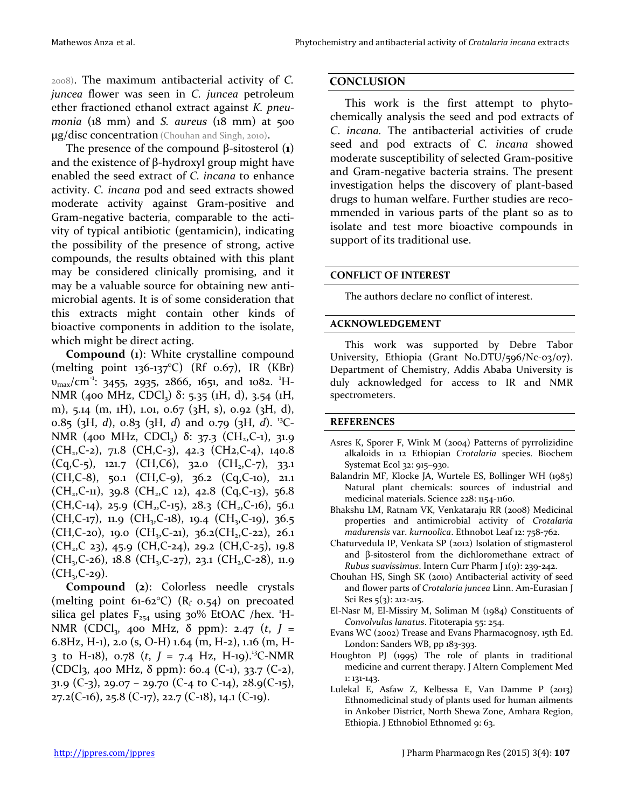2008). The maximum antibacterial activity of *C. juncea* flower was seen in *C. juncea* petroleum ether fractioned ethanol extract against *K. pneumonia* (18 mm) and *S. aureus* (18 mm) at 500 μg/disc concentration (Chouhan and Singh, 2010).

The presence of the compound β-sitosterol (**1**) and the existence of β-hydroxyl group might have enabled the seed extract of *C. incana* to enhance activity. *C. incana* pod and seed extracts showed moderate activity against Gram-positive and Gram-negative bacteria, comparable to the activity of typical antibiotic (gentamicin), indicating the possibility of the presence of strong, active compounds, the results obtained with this plant may be considered clinically promising, and it may be a valuable source for obtaining new antimicrobial agents. It is of some consideration that this extracts might contain other kinds of bioactive components in addition to the isolate, which might be direct acting.

**Compound (1)**: White crystalline compound (melting point 136-137°C) (Rf 0.67), IR (KBr) υ<sub>max</sub>/cm<sup>-1</sup>: 3455, 2935, 2866, 1651, and 1082. <sup>1</sup>H-NMR (400 MHz, CDCl<sub>3</sub>)  $\delta$ : 5.35 (1H, d), 3.54 (1H, m), 5.14 (m, 1H), 1.01, 0.67 (3H, s), 0.92 (3H, d), 0.85 (3H, *d*), 0.83 (3H, *d*) and 0.79 (3H, *d*). 13C-NMR (400 MHz, CDCl<sub>3</sub>) δ: 37.3 (CH<sub>2</sub>,C-1), 31.9  $(CH<sub>2</sub>, C-2)$ , 71.8  $(CH, C-3)$ , 42.3  $(CH2, C-4)$ , 140.8  $(Cq, C-5)$ , 121.7  $(CH, C6)$ , 32.0  $(CH_2, C-7)$ , 33.1 (CH,C-8), 50.1 (CH,C-9), 36.2 (Cq,C-10), 21.1  $(CH_2, C-11)$ , 39.8  $(CH_2, C_12)$ , 42.8  $(Cq, C-13)$ , 56.8  $(CH, C-14)$ , 25.9  $(CH_2, C-15)$ , 28.3  $(CH_2, C-16)$ , 56.1  $(CH, C-17)$ , 11.9  $(CH_2, C-18)$ , 19.4  $(CH_2, C-19)$ , 36.5  $(CH,C-20)$ , 19.0  $(CH_3,C-21)$ , 36.2 $(CH_2,C-22)$ , 26.1  $(CH<sub>2</sub>, C 23)$ , 45.9 (CH,C-24), 29.2 (CH,C-25), 19.8  $(CH_3, C-26)$ , 18.8  $(CH_3, C-27)$ , 23.1  $(CH_2, C-28)$ , 11.9  $(CH<sub>29</sub>, C-29)$ .

**Compound (2**): Colorless needle crystals (melting point 61-62 $\degree$ C) (R<sub>f</sub> 0.54) on precoated silica gel plates  $F_{254}$  using 30% EtOAC /hex. 'H-NMR (CDCl<sub>3</sub>, 400 MHz, δ ppm): 2.47 (*t*, *J* = 6.8Hz, H-1), 2.0 (s, O-H) 1.64 (m, H-2), 1.16 (m, H-3 to H-18),  $0.78$  (*t*, *J* = 7.4 Hz, H-19).<sup>13</sup>C-NMR (CDCl3, 400 MHz,  $\delta$  ppm): 60.4 (C-1), 33.7 (C-2), 31.9 (C-3), 29.07 – 29.70 (C-4 to C-14), 28.9(C-15),  $27.2(C-16)$ ,  $25.8(C-17)$ ,  $22.7(C-18)$ ,  $14.1(C-19)$ .

#### **CONCLUSION**

This work is the first attempt to phytochemically analysis the seed and pod extracts of *C*. *incana.* The antibacterial activities of crude seed and pod extracts of *C. incana* showed moderate susceptibility of selected Gram-positive and Gram-negative bacteria strains. The present investigation helps the discovery of plant-based drugs to human welfare. Further studies are recommended in various parts of the plant so as to isolate and test more bioactive compounds in support of its traditional use.

#### **CONFLICT OF INTEREST**

The authors declare no conflict of interest.

#### **ACKNOWLEDGEMENT**

This work was supported by Debre Tabor University, Ethiopia (Grant No.DTU/596/Nc-03/07). Department of Chemistry, Addis Ababa University is duly acknowledged for access to IR and NMR spectrometers.

#### **REFERENCES**

- Asres K, Sporer F, Wink M (2004) Patterns of pyrrolizidine alkaloids in 12 Ethiopian *Crotalaria* species. Biochem Systemat Ecol 32: 915–930.
- Balandrin MF, Klocke JA, Wurtele ES, Bollinger WH (1985) Natural plant chemicals: sources of industrial and medicinal materials. Science 228: 1154-1160.
- Bhakshu LM, Ratnam VK, Venkataraju RR (2008) Medicinal properties and antimicrobial activity of *Crotalaria madurensis* var. *kurnoolica*. Ethnobot Leaf 12: 758-762.
- Chaturvedula IP, Venkata SP (2012) Isolation of stigmasterol and β-sitosterol from the dichloromethane extract of *Rubus suavissimus*. Intern Curr Pharm J 1(9): 239-242.
- Chouhan HS, Singh SK (2010) Antibacterial activity of seed and flower parts of *Crotalaria juncea* Linn. Am-Eurasian J Sci Res 5(3): 212-215.
- El-Nasr M, El-Missiry M, Soliman M (1984) Constituents of *Convolvulus lanatus*. Fitoterapia 55: 254.
- Evans WC (2002) Trease and Evans Pharmacognosy, 15th Ed. London: Sanders WB, pp 183-393.
- Houghton PJ (1995) The role of plants in traditional medicine and current therapy. J Altern Complement Med 1: 131-143.
- Lulekal E, Asfaw Z, Kelbessa E, Van Damme P (2013) Ethnomedicinal study of plants used for human ailments in Ankober District, North Shewa Zone, Amhara Region, Ethiopia. J Ethnobiol Ethnomed 9: 63.